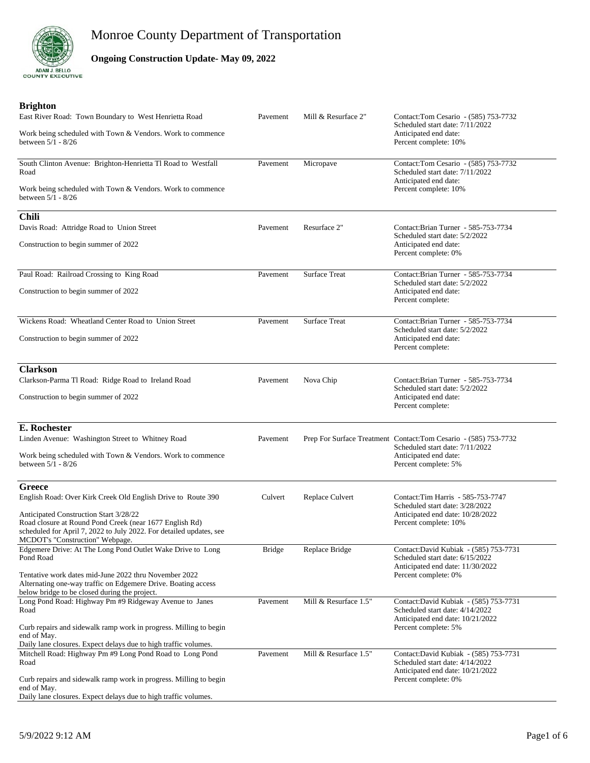

### **Ongoing Construction Update- May 09, 2022**

| <b>Brighton</b><br>East River Road: Town Boundary to West Henrietta Road                                                                                                                                    | Pavement      | Mill & Resurface 2"   | Contact:Tom Cesario - (585) 753-7732                                                                         |
|-------------------------------------------------------------------------------------------------------------------------------------------------------------------------------------------------------------|---------------|-----------------------|--------------------------------------------------------------------------------------------------------------|
| Work being scheduled with Town & Vendors. Work to commence<br>between 5/1 - 8/26                                                                                                                            |               |                       | Scheduled start date: 7/11/2022<br>Anticipated end date:<br>Percent complete: 10%                            |
| South Clinton Avenue: Brighton-Henrietta Tl Road to Westfall<br>Road                                                                                                                                        | Pavement      | Micropave             | Contact:Tom Cesario - (585) 753-7732<br>Scheduled start date: 7/11/2022                                      |
| Work being scheduled with Town & Vendors. Work to commence<br>between 5/1 - 8/26                                                                                                                            |               |                       | Anticipated end date:<br>Percent complete: 10%                                                               |
| <b>Chili</b>                                                                                                                                                                                                |               |                       |                                                                                                              |
| Davis Road: Attridge Road to Union Street                                                                                                                                                                   | Pavement      | Resurface 2"          | Contact: Brian Turner - 585-753-7734<br>Scheduled start date: 5/2/2022                                       |
| Construction to begin summer of 2022                                                                                                                                                                        |               |                       | Anticipated end date:<br>Percent complete: 0%                                                                |
| Paul Road: Railroad Crossing to King Road                                                                                                                                                                   | Pavement      | <b>Surface Treat</b>  | Contact:Brian Turner - 585-753-7734                                                                          |
| Construction to begin summer of 2022                                                                                                                                                                        |               |                       | Scheduled start date: 5/2/2022<br>Anticipated end date:<br>Percent complete:                                 |
| Wickens Road: Wheatland Center Road to Union Street                                                                                                                                                         | Pavement      | <b>Surface Treat</b>  | Contact:Brian Turner - 585-753-7734                                                                          |
| Construction to begin summer of 2022                                                                                                                                                                        |               |                       | Scheduled start date: 5/2/2022<br>Anticipated end date:<br>Percent complete:                                 |
| <b>Clarkson</b>                                                                                                                                                                                             |               |                       |                                                                                                              |
| Clarkson-Parma Tl Road: Ridge Road to Ireland Road                                                                                                                                                          | Pavement      | Nova Chip             | Contact: Brian Turner - 585-753-7734<br>Scheduled start date: 5/2/2022                                       |
| Construction to begin summer of 2022                                                                                                                                                                        |               |                       | Anticipated end date:<br>Percent complete:                                                                   |
| E. Rochester                                                                                                                                                                                                |               |                       |                                                                                                              |
| Linden Avenue: Washington Street to Whitney Road                                                                                                                                                            | Pavement      |                       | Prep For Surface Treatment Contact: Tom Cesario - (585) 753-7732                                             |
| Work being scheduled with Town & Vendors. Work to commence<br>between 5/1 - 8/26                                                                                                                            |               |                       | Scheduled start date: 7/11/2022<br>Anticipated end date:<br>Percent complete: 5%                             |
| <b>Greece</b>                                                                                                                                                                                               |               |                       |                                                                                                              |
| English Road: Over Kirk Creek Old English Drive to Route 390                                                                                                                                                | Culvert       | Replace Culvert       | Contact: Tim Harris - 585-753-7747<br>Scheduled start date: 3/28/2022                                        |
| Anticipated Construction Start 3/28/22<br>Road closure at Round Pond Creek (near 1677 English Rd)<br>scheduled for April 7, 2022 to July 2022. For detailed updates, see<br>MCDOT's "Construction" Webpage. |               |                       | Anticipated end date: 10/28/2022<br>Percent complete: 10%                                                    |
| Edgemere Drive: At The Long Pond Outlet Wake Drive to Long<br>Pond Road                                                                                                                                     | <b>Bridge</b> | Replace Bridge        | Contact:David Kubiak - (585) 753-7731<br>Scheduled start date: 6/15/2022                                     |
| Tentative work dates mid-June 2022 thru November 2022<br>Alternating one-way traffic on Edgemere Drive. Boating access<br>below bridge to be closed during the project.                                     |               |                       | Anticipated end date: 11/30/2022<br>Percent complete: 0%                                                     |
| Long Pond Road: Highway Pm #9 Ridgeway Avenue to Janes<br>Road                                                                                                                                              | Pavement      | Mill & Resurface 1.5" | Contact:David Kubiak - (585) 753-7731<br>Scheduled start date: 4/14/2022<br>Anticipated end date: 10/21/2022 |
| Curb repairs and sidewalk ramp work in progress. Milling to begin<br>end of May.<br>Daily lane closures. Expect delays due to high traffic volumes.                                                         |               |                       | Percent complete: 5%                                                                                         |
| Mitchell Road: Highway Pm #9 Long Pond Road to Long Pond                                                                                                                                                    | Pavement      | Mill & Resurface 1.5" | Contact:David Kubiak - (585) 753-7731                                                                        |
| Road<br>Curb repairs and sidewalk ramp work in progress. Milling to begin                                                                                                                                   |               |                       | Scheduled start date: 4/14/2022<br>Anticipated end date: 10/21/2022<br>Percent complete: 0%                  |
| end of May.<br>Daily lane closures. Expect delays due to high traffic volumes.                                                                                                                              |               |                       |                                                                                                              |
|                                                                                                                                                                                                             |               |                       |                                                                                                              |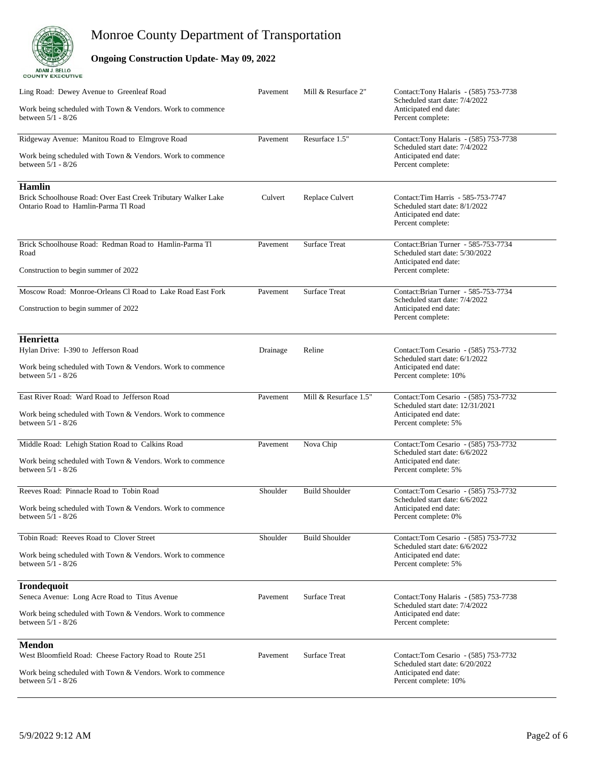

### **Ongoing Construction Update- May 09, 2022**

| Ling Road: Dewey Avenue to Greenleaf Road<br>Work being scheduled with Town & Vendors. Work to commence<br>between 5/1 - 8/26                               | Pavement | Mill & Resurface 2"   | Contact:Tony Halaris - (585) 753-7738<br>Scheduled start date: 7/4/2022<br>Anticipated end date:<br>Percent complete:     |
|-------------------------------------------------------------------------------------------------------------------------------------------------------------|----------|-----------------------|---------------------------------------------------------------------------------------------------------------------------|
| Ridgeway Avenue: Manitou Road to Elmgrove Road<br>Work being scheduled with Town & Vendors. Work to commence<br>between 5/1 - 8/26                          | Pavement | Resurface 1.5"        | Contact:Tony Halaris - (585) 753-7738<br>Scheduled start date: 7/4/2022<br>Anticipated end date:<br>Percent complete:     |
| <b>Hamlin</b><br>Brick Schoolhouse Road: Over East Creek Tributary Walker Lake<br>Ontario Road to Hamlin-Parma Tl Road                                      | Culvert  | Replace Culvert       | Contact:Tim Harris - 585-753-7747<br>Scheduled start date: 8/1/2022<br>Anticipated end date:<br>Percent complete:         |
| Brick Schoolhouse Road: Redman Road to Hamlin-Parma Tl<br>Road<br>Construction to begin summer of 2022                                                      | Pavement | <b>Surface Treat</b>  | Contact:Brian Turner - 585-753-7734<br>Scheduled start date: 5/30/2022<br>Anticipated end date:<br>Percent complete:      |
| Moscow Road: Monroe-Orleans Cl Road to Lake Road East Fork<br>Construction to begin summer of 2022                                                          | Pavement | <b>Surface Treat</b>  | Contact: Brian Turner - 585-753-7734<br>Scheduled start date: 7/4/2022<br>Anticipated end date:<br>Percent complete:      |
| Henrietta<br>Hylan Drive: I-390 to Jefferson Road<br>Work being scheduled with Town & Vendors. Work to commence<br>between 5/1 - 8/26                       | Drainage | Reline                | Contact:Tom Cesario - (585) 753-7732<br>Scheduled start date: 6/1/2022<br>Anticipated end date:<br>Percent complete: 10%  |
| East River Road: Ward Road to Jefferson Road<br>Work being scheduled with Town & Vendors. Work to commence<br>between 5/1 - 8/26                            | Pavement | Mill & Resurface 1.5" | Contact:Tom Cesario - (585) 753-7732<br>Scheduled start date: 12/31/2021<br>Anticipated end date:<br>Percent complete: 5% |
| Middle Road: Lehigh Station Road to Calkins Road<br>Work being scheduled with Town & Vendors. Work to commence<br>between 5/1 - 8/26                        | Pavement | Nova Chip             | Contact:Tom Cesario - (585) 753-7732<br>Scheduled start date: 6/6/2022<br>Anticipated end date:<br>Percent complete: 5%   |
| Reeves Road: Pinnacle Road to Tobin Road<br>Work being scheduled with Town & Vendors. Work to commence<br>between 5/1 - 8/26                                | Shoulder | <b>Build Shoulder</b> | Contact:Tom Cesario - (585) 753-7732<br>Scheduled start date: 6/6/2022<br>Anticipated end date:<br>Percent complete: 0%   |
| Tobin Road: Reeves Road to Clover Street<br>Work being scheduled with Town & Vendors. Work to commence<br>between 5/1 - 8/26                                | Shoulder | <b>Build Shoulder</b> | Contact:Tom Cesario - (585) 753-7732<br>Scheduled start date: 6/6/2022<br>Anticipated end date:<br>Percent complete: 5%   |
| Irondequoit<br>Seneca Avenue: Long Acre Road to Titus Avenue<br>Work being scheduled with Town & Vendors. Work to commence<br>between 5/1 - 8/26            | Pavement | <b>Surface Treat</b>  | Contact:Tony Halaris - (585) 753-7738<br>Scheduled start date: 7/4/2022<br>Anticipated end date:<br>Percent complete:     |
| <b>Mendon</b><br>West Bloomfield Road: Cheese Factory Road to Route 251<br>Work being scheduled with Town & Vendors. Work to commence<br>between 5/1 - 8/26 | Pavement | <b>Surface Treat</b>  | Contact:Tom Cesario - (585) 753-7732<br>Scheduled start date: 6/20/2022<br>Anticipated end date:<br>Percent complete: 10% |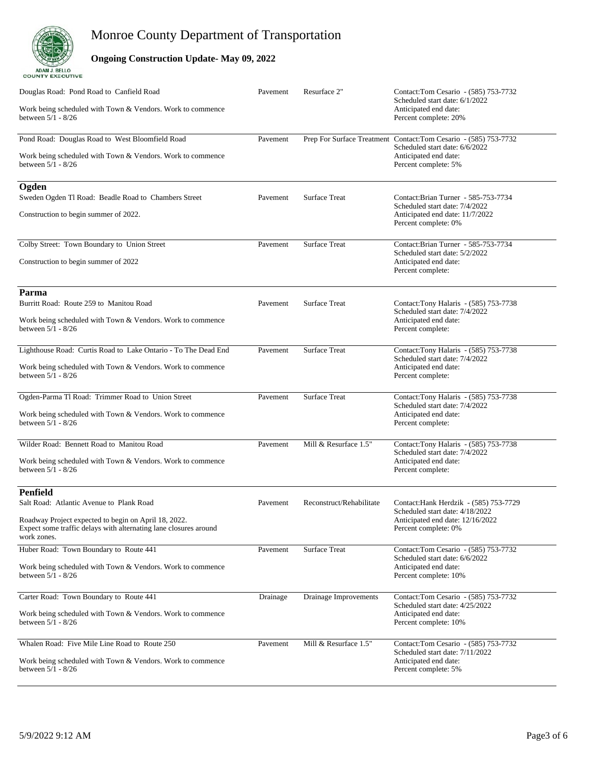

### **Ongoing Construction Update- May 09, 2022**

| Douglas Road: Pond Road to Canfield Road<br>Work being scheduled with Town & Vendors. Work to commence<br>between 5/1 - 8/26                                                                           | Pavement | Resurface 2"             | Contact:Tom Cesario - (585) 753-7732<br>Scheduled start date: 6/1/2022<br>Anticipated end date:<br>Percent complete: 20%                            |
|--------------------------------------------------------------------------------------------------------------------------------------------------------------------------------------------------------|----------|--------------------------|-----------------------------------------------------------------------------------------------------------------------------------------------------|
| Pond Road: Douglas Road to West Bloomfield Road<br>Work being scheduled with Town & Vendors. Work to commence<br>between 5/1 - 8/26                                                                    | Pavement |                          | Prep For Surface Treatment Contact: Tom Cesario - (585) 753-7732<br>Scheduled start date: 6/6/2022<br>Anticipated end date:<br>Percent complete: 5% |
| Ogden<br>Sweden Ogden Tl Road: Beadle Road to Chambers Street<br>Construction to begin summer of 2022.                                                                                                 | Pavement | <b>Surface Treat</b>     | Contact: Brian Turner - 585-753-7734<br>Scheduled start date: 7/4/2022<br>Anticipated end date: 11/7/2022<br>Percent complete: 0%                   |
| Colby Street: Town Boundary to Union Street<br>Construction to begin summer of 2022                                                                                                                    | Pavement | <b>Surface Treat</b>     | Contact:Brian Turner - 585-753-7734<br>Scheduled start date: 5/2/2022<br>Anticipated end date:<br>Percent complete:                                 |
| Parma<br>Burritt Road: Route 259 to Manitou Road<br>Work being scheduled with Town & Vendors. Work to commence<br>between 5/1 - 8/26                                                                   | Pavement | <b>Surface Treat</b>     | Contact:Tony Halaris - (585) 753-7738<br>Scheduled start date: 7/4/2022<br>Anticipated end date:<br>Percent complete:                               |
| Lighthouse Road: Curtis Road to Lake Ontario - To The Dead End<br>Work being scheduled with Town & Vendors. Work to commence<br>between 5/1 - 8/26                                                     | Pavement | <b>Surface Treat</b>     | Contact:Tony Halaris - (585) 753-7738<br>Scheduled start date: 7/4/2022<br>Anticipated end date:<br>Percent complete:                               |
| Ogden-Parma Tl Road: Trimmer Road to Union Street<br>Work being scheduled with Town & Vendors. Work to commence<br>between 5/1 - 8/26                                                                  | Pavement | <b>Surface Treat</b>     | Contact:Tony Halaris - (585) 753-7738<br>Scheduled start date: 7/4/2022<br>Anticipated end date:<br>Percent complete:                               |
| Wilder Road: Bennett Road to Manitou Road<br>Work being scheduled with Town & Vendors. Work to commence<br>between 5/1 - 8/26                                                                          | Pavement | Mill & Resurface 1.5"    | Contact:Tony Halaris - (585) 753-7738<br>Scheduled start date: 7/4/2022<br>Anticipated end date:<br>Percent complete:                               |
| <b>Penfield</b><br>Salt Road: Atlantic Avenue to Plank Road<br>Roadway Project expected to begin on April 18, 2022.<br>Expect some traffic delays with alternating lane closures around<br>work zones. | Pavement | Reconstruct/Rehabilitate | Contact: Hank Herdzik - (585) 753-7729<br>Scheduled start date: 4/18/2022<br>Anticipated end date: 12/16/2022<br>Percent complete: 0%               |
| Huber Road: Town Boundary to Route 441<br>Work being scheduled with Town & Vendors. Work to commence<br>between 5/1 - 8/26                                                                             | Pavement | <b>Surface Treat</b>     | Contact:Tom Cesario - (585) 753-7732<br>Scheduled start date: 6/6/2022<br>Anticipated end date:<br>Percent complete: 10%                            |
| Carter Road: Town Boundary to Route 441<br>Work being scheduled with Town & Vendors. Work to commence<br>between 5/1 - 8/26                                                                            | Drainage | Drainage Improvements    | Contact:Tom Cesario - (585) 753-7732<br>Scheduled start date: 4/25/2022<br>Anticipated end date:<br>Percent complete: 10%                           |
| Whalen Road: Five Mile Line Road to Route 250<br>Work being scheduled with Town & Vendors. Work to commence<br>between 5/1 - 8/26                                                                      | Pavement | Mill & Resurface 1.5"    | Contact: Tom Cesario - (585) 753-7732<br>Scheduled start date: 7/11/2022<br>Anticipated end date:<br>Percent complete: 5%                           |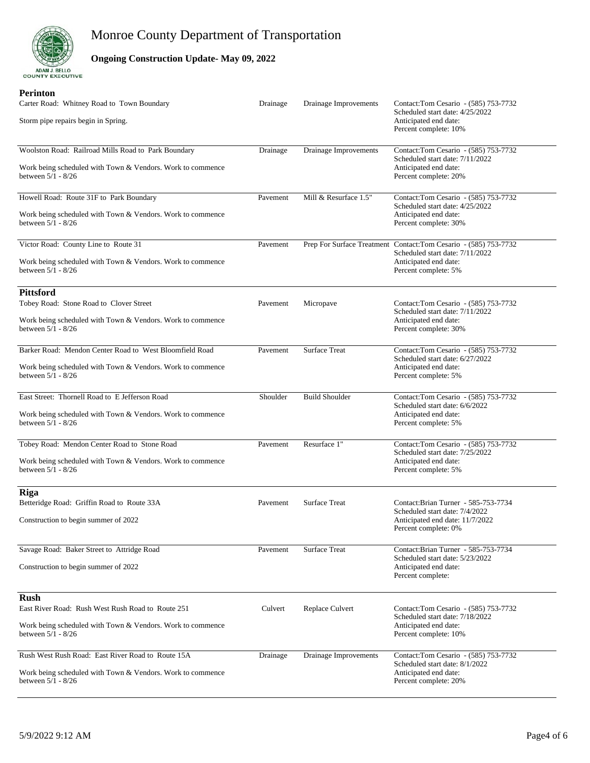

### **Ongoing Construction Update- May 09, 2022**

#### **Perinton**

| Carter Road: Whitney Road to Town Boundary<br>Storm pipe repairs begin in Spring.                                                                      | Drainage | Drainage Improvements | Contact:Tom Cesario - (585) 753-7732<br>Scheduled start date: 4/25/2022<br>Anticipated end date:<br>Percent complete: 10%                            |
|--------------------------------------------------------------------------------------------------------------------------------------------------------|----------|-----------------------|------------------------------------------------------------------------------------------------------------------------------------------------------|
| Woolston Road: Railroad Mills Road to Park Boundary<br>Work being scheduled with Town & Vendors. Work to commence<br>between 5/1 - 8/26                | Drainage | Drainage Improvements | Contact: Tom Cesario - (585) 753-7732<br>Scheduled start date: 7/11/2022<br>Anticipated end date:<br>Percent complete: 20%                           |
| Howell Road: Route 31F to Park Boundary<br>Work being scheduled with Town & Vendors. Work to commence<br>between 5/1 - 8/26                            | Pavement | Mill & Resurface 1.5" | Contact:Tom Cesario - (585) 753-7732<br>Scheduled start date: 4/25/2022<br>Anticipated end date:<br>Percent complete: 30%                            |
| Victor Road: County Line to Route 31<br>Work being scheduled with Town & Vendors. Work to commence<br>between $5/1 - 8/26$                             | Pavement |                       | Prep For Surface Treatment Contact: Tom Cesario - (585) 753-7732<br>Scheduled start date: 7/11/2022<br>Anticipated end date:<br>Percent complete: 5% |
| <b>Pittsford</b><br>Tobey Road: Stone Road to Clover Street<br>Work being scheduled with Town & Vendors. Work to commence<br>between 5/1 - 8/26        | Pavement | Micropave             | Contact:Tom Cesario - (585) 753-7732<br>Scheduled start date: 7/11/2022<br>Anticipated end date:<br>Percent complete: 30%                            |
| Barker Road: Mendon Center Road to West Bloomfield Road<br>Work being scheduled with Town & Vendors. Work to commence<br>between 5/1 - 8/26            | Pavement | <b>Surface Treat</b>  | Contact:Tom Cesario - (585) 753-7732<br>Scheduled start date: 6/27/2022<br>Anticipated end date:<br>Percent complete: 5%                             |
| East Street: Thornell Road to E Jefferson Road<br>Work being scheduled with Town & Vendors. Work to commence<br>between 5/1 - 8/26                     | Shoulder | <b>Build Shoulder</b> | Contact:Tom Cesario - (585) 753-7732<br>Scheduled start date: 6/6/2022<br>Anticipated end date:<br>Percent complete: 5%                              |
| Tobey Road: Mendon Center Road to Stone Road<br>Work being scheduled with Town & Vendors. Work to commence<br>between 5/1 - 8/26                       | Pavement | Resurface 1"          | Contact: Tom Cesario - (585) 753-7732<br>Scheduled start date: 7/25/2022<br>Anticipated end date:<br>Percent complete: 5%                            |
| Riga<br>Betteridge Road: Griffin Road to Route 33A<br>Construction to begin summer of 2022                                                             | Pavement | <b>Surface Treat</b>  | Contact: Brian Turner - 585-753-7734<br>Scheduled start date: 7/4/2022<br>Anticipated end date: 11/7/2022<br>Percent complete: 0%                    |
| Savage Road: Baker Street to Attridge Road<br>Construction to begin summer of 2022                                                                     | Pavement | Surface Treat         | Contact: Brian Turner - 585-753-7734<br>Scheduled start date: 5/23/2022<br>Anticipated end date:<br>Percent complete:                                |
| <b>Rush</b><br>East River Road: Rush West Rush Road to Route 251<br>Work being scheduled with Town & Vendors. Work to commence<br>between $5/1 - 8/26$ | Culvert  | Replace Culvert       | Contact:Tom Cesario - (585) 753-7732<br>Scheduled start date: 7/18/2022<br>Anticipated end date:<br>Percent complete: 10%                            |
| Rush West Rush Road: East River Road to Route 15A<br>Work being scheduled with Town & Vendors. Work to commence<br>between 5/1 - 8/26                  | Drainage | Drainage Improvements | Contact:Tom Cesario - (585) 753-7732<br>Scheduled start date: 8/1/2022<br>Anticipated end date:<br>Percent complete: 20%                             |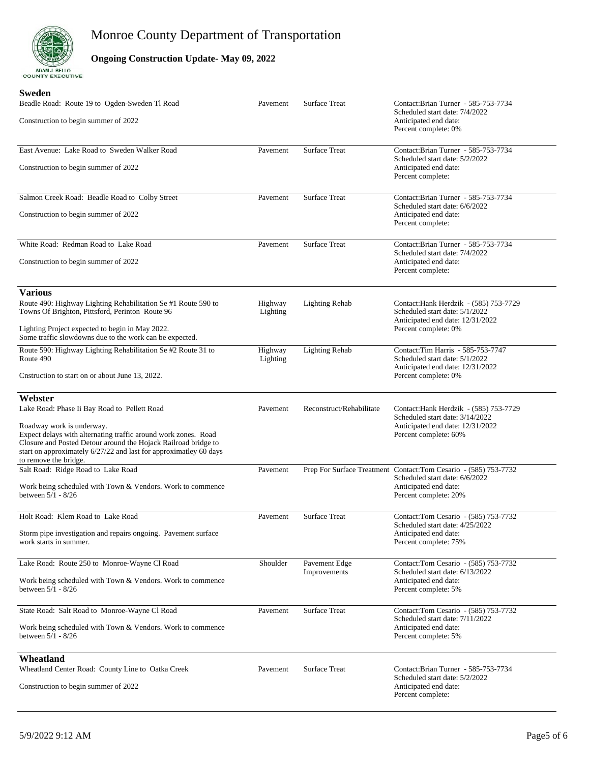

### **Ongoing Construction Update- May 09, 2022**

#### **Sweden**

| Beadle Road: Route 19 to Ogden-Sweden Tl Road<br>Construction to begin summer of 2022                                                                                                                                                                                                                                  | Pavement            | <b>Surface Treat</b>          | Contact: Brian Turner - 585-753-7734<br>Scheduled start date: 7/4/2022<br>Anticipated end date:<br>Percent complete: 0%                              |
|------------------------------------------------------------------------------------------------------------------------------------------------------------------------------------------------------------------------------------------------------------------------------------------------------------------------|---------------------|-------------------------------|------------------------------------------------------------------------------------------------------------------------------------------------------|
| East Avenue: Lake Road to Sweden Walker Road<br>Construction to begin summer of 2022                                                                                                                                                                                                                                   | Pavement            | <b>Surface Treat</b>          | Contact:Brian Turner - 585-753-7734<br>Scheduled start date: 5/2/2022<br>Anticipated end date:<br>Percent complete:                                  |
| Salmon Creek Road: Beadle Road to Colby Street<br>Construction to begin summer of 2022                                                                                                                                                                                                                                 | Pavement            | <b>Surface Treat</b>          | Contact:Brian Turner - 585-753-7734<br>Scheduled start date: 6/6/2022<br>Anticipated end date:<br>Percent complete:                                  |
| White Road: Redman Road to Lake Road<br>Construction to begin summer of 2022                                                                                                                                                                                                                                           | Pavement            | <b>Surface Treat</b>          | Contact:Brian Turner - 585-753-7734<br>Scheduled start date: 7/4/2022<br>Anticipated end date:<br>Percent complete:                                  |
| <b>Various</b><br>Route 490: Highway Lighting Rehabilitation Se #1 Route 590 to<br>Towns Of Brighton, Pittsford, Perinton Route 96<br>Lighting Project expected to begin in May 2022.<br>Some traffic slowdowns due to the work can be expected.                                                                       | Highway<br>Lighting | <b>Lighting Rehab</b>         | Contact: Hank Herdzik - (585) 753-7729<br>Scheduled start date: 5/1/2022<br>Anticipated end date: 12/31/2022<br>Percent complete: 0%                 |
| Route 590: Highway Lighting Rehabilitation Se #2 Route 31 to<br>Route 490<br>Cnstruction to start on or about June 13, 2022.                                                                                                                                                                                           | Highway<br>Lighting | <b>Lighting Rehab</b>         | Contact: Tim Harris - 585-753-7747<br>Scheduled start date: 5/1/2022<br>Anticipated end date: 12/31/2022<br>Percent complete: 0%                     |
| Webster<br>Lake Road: Phase Ii Bay Road to Pellett Road<br>Roadway work is underway.<br>Expect delays with alternating traffic around work zones. Road<br>Closure and Posted Detour around the Hojack Railroad bridge to<br>start on approximately 6/27/22 and last for approximatley 60 days<br>to remove the bridge. | Pavement            | Reconstruct/Rehabilitate      | Contact: Hank Herdzik - (585) 753-7729<br>Scheduled start date: 3/14/2022<br>Anticipated end date: 12/31/2022<br>Percent complete: 60%               |
| Salt Road: Ridge Road to Lake Road<br>Work being scheduled with Town & Vendors. Work to commence<br>between 5/1 - 8/26                                                                                                                                                                                                 | Pavement            |                               | Prep For Surface Treatment Contact: Tom Cesario - (585) 753-7732<br>Scheduled start date: 6/6/2022<br>Anticipated end date:<br>Percent complete: 20% |
| Holt Road: Klem Road to Lake Road<br>Storm pipe investigation and repairs ongoing. Pavement surface<br>work starts in summer.                                                                                                                                                                                          | Pavement            | <b>Surface Treat</b>          | Contact:Tom Cesario - (585) 753-7732<br>Scheduled start date: 4/25/2022<br>Anticipated end date:<br>Percent complete: 75%                            |
| Lake Road: Route 250 to Monroe-Wayne Cl Road<br>Work being scheduled with Town & Vendors. Work to commence<br>between 5/1 - 8/26                                                                                                                                                                                       | Shoulder            | Pavement Edge<br>Improvements | Contact:Tom Cesario - (585) 753-7732<br>Scheduled start date: 6/13/2022<br>Anticipated end date:<br>Percent complete: 5%                             |
| State Road: Salt Road to Monroe-Wayne Cl Road<br>Work being scheduled with Town & Vendors. Work to commence<br>between 5/1 - 8/26                                                                                                                                                                                      | Pavement            | <b>Surface Treat</b>          | Contact:Tom Cesario - (585) 753-7732<br>Scheduled start date: 7/11/2022<br>Anticipated end date:<br>Percent complete: 5%                             |
| Wheatland<br>Wheatland Center Road: County Line to Oatka Creek<br>Construction to begin summer of 2022                                                                                                                                                                                                                 | Pavement            | <b>Surface Treat</b>          | Contact:Brian Turner - 585-753-7734<br>Scheduled start date: 5/2/2022<br>Anticipated end date:<br>Percent complete:                                  |